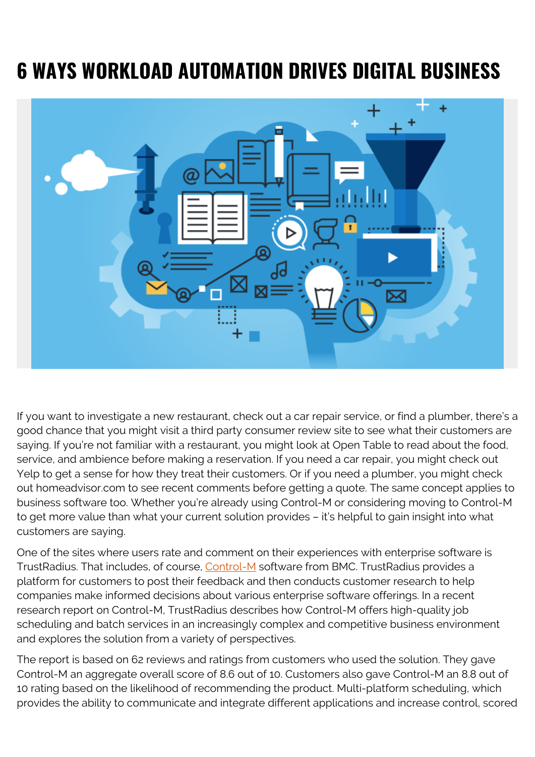## **6 WAYS WORKLOAD AUTOMATION DRIVES DIGITAL BUSINESS**



If you want to investigate a new restaurant, check out a car repair service, or find a plumber, there's a good chance that you might visit a third party consumer review site to see what their customers are saying. If you're not familiar with a restaurant, you might look at Open Table to read about the food, service, and ambience before making a reservation. If you need a car repair, you might check out Yelp to get a sense for how they treat their customers. Or if you need a plumber, you might check out homeadvisor.com to see recent comments before getting a quote. The same concept applies to business software too. Whether you're already using Control-M or considering moving to Control-M to get more value than what your current solution provides – it's helpful to gain insight into what customers are saying.

One of the sites where users rate and comment on their experiences with enterprise software is TrustRadius. That includes, of course, [Control-M](http://www.bmc.com/it-solutions/control-m.html) software from BMC. TrustRadius provides a platform for customers to post their feedback and then conducts customer research to help companies make informed decisions about various enterprise software offerings. In a recent research report on Control-M, TrustRadius describes how Control-M offers high-quality job scheduling and batch services in an increasingly complex and competitive business environment and explores the solution from a variety of perspectives.

The report is based on 62 reviews and ratings from customers who used the solution. They gave Control-M an aggregate overall score of 8.6 out of 10. Customers also gave Control-M an 8.8 out of 10 rating based on the likelihood of recommending the product. Multi-platform scheduling, which provides the ability to communicate and integrate different applications and increase control, scored